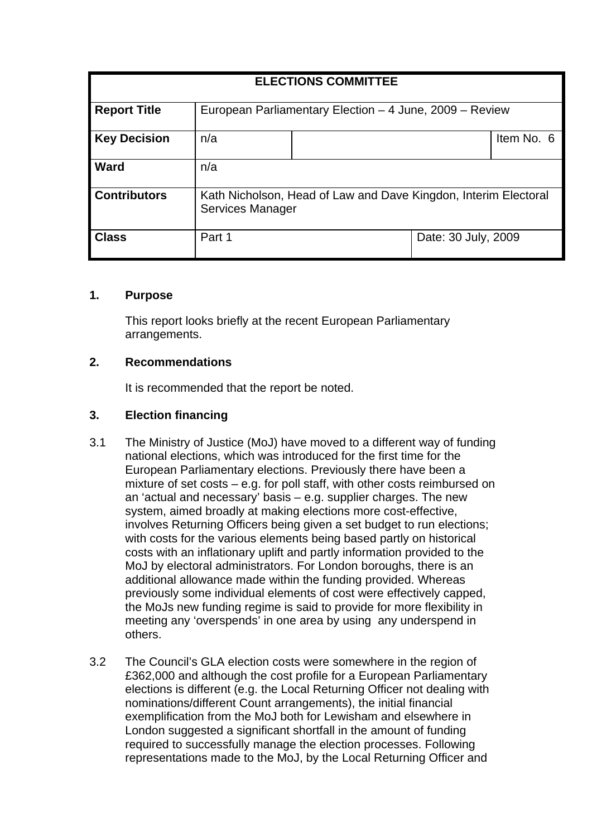| <b>ELECTIONS COMMITTEE</b> |                                                                                     |  |                     |            |
|----------------------------|-------------------------------------------------------------------------------------|--|---------------------|------------|
| <b>Report Title</b>        | European Parliamentary Election - 4 June, 2009 - Review                             |  |                     |            |
| <b>Key Decision</b>        | n/a                                                                                 |  |                     | Item No. 6 |
| <b>Ward</b>                | n/a                                                                                 |  |                     |            |
| <b>Contributors</b>        | Kath Nicholson, Head of Law and Dave Kingdon, Interim Electoral<br>Services Manager |  |                     |            |
| <b>Class</b>               | Part 1                                                                              |  | Date: 30 July, 2009 |            |

#### **1. Purpose**

This report looks briefly at the recent European Parliamentary arrangements.

### **2. Recommendations**

It is recommended that the report be noted.

# **3. Election financing**

- 3.1 The Ministry of Justice (MoJ) have moved to a different way of funding national elections, which was introduced for the first time for the European Parliamentary elections. Previously there have been a mixture of set costs – e.g. for poll staff, with other costs reimbursed on an 'actual and necessary' basis – e.g. supplier charges. The new system, aimed broadly at making elections more cost-effective, involves Returning Officers being given a set budget to run elections; with costs for the various elements being based partly on historical costs with an inflationary uplift and partly information provided to the MoJ by electoral administrators. For London boroughs, there is an additional allowance made within the funding provided. Whereas previously some individual elements of cost were effectively capped, the MoJs new funding regime is said to provide for more flexibility in meeting any 'overspends' in one area by using any underspend in others.
- 3.2 The Council's GLA election costs were somewhere in the region of £362,000 and although the cost profile for a European Parliamentary elections is different (e.g. the Local Returning Officer not dealing with nominations/different Count arrangements), the initial financial exemplification from the MoJ both for Lewisham and elsewhere in London suggested a significant shortfall in the amount of funding required to successfully manage the election processes. Following representations made to the MoJ, by the Local Returning Officer and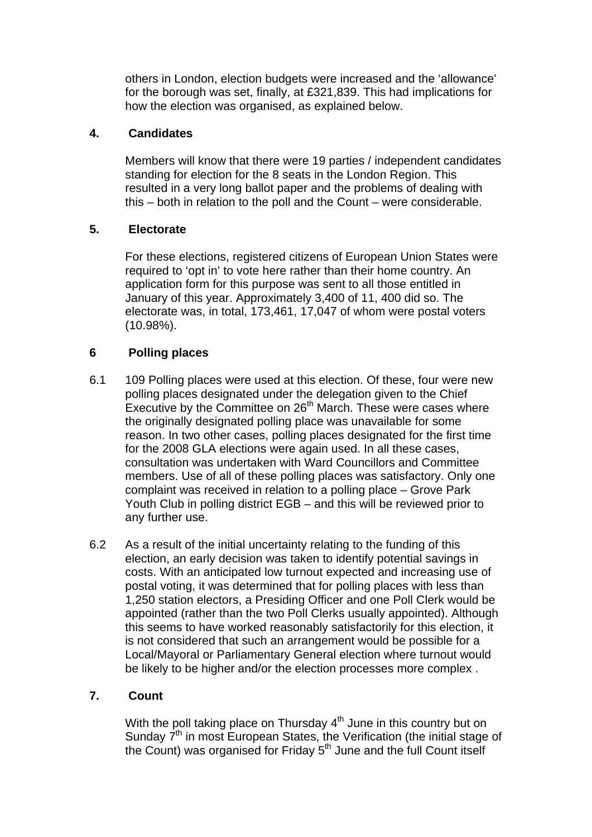others in London, election budgets were increased and the 'allowance' for the borough was set, finally, at £321,839. This had implications for how the election was organised, as explained below.

### **4. Candidates**

Members will know that there were 19 parties / independent candidates standing for election for the 8 seats in the London Region. This resulted in a very long ballot paper and the problems of dealing with this – both in relation to the poll and the Count – were considerable.

### **5. Electorate**

For these elections, registered citizens of European Union States were required to 'opt in' to vote here rather than their home country. An application form for this purpose was sent to all those entitled in January of this year. Approximately 3,400 of 11, 400 did so. The electorate was, in total, 173,461, 17,047 of whom were postal voters (10.98%).

# **6 Polling places**

- 6.1 109 Polling places were used at this election. Of these, four were new polling places designated under the delegation given to the Chief Executive by the Committee on 26<sup>th</sup> March. These were cases where the originally designated polling place was unavailable for some reason. In two other cases, polling places designated for the first time for the 2008 GLA elections were again used. In all these cases, consultation was undertaken with Ward Councillors and Committee members. Use of all of these polling places was satisfactory. Only one complaint was received in relation to a polling place – Grove Park Youth Club in polling district EGB – and this will be reviewed prior to any further use.
- 6.2 As a result of the initial uncertainty relating to the funding of this election, an early decision was taken to identify potential savings in costs. With an anticipated low turnout expected and increasing use of postal voting, it was determined that for polling places with less than 1,250 station electors, a Presiding Officer and one Poll Clerk would be appointed (rather than the two Poll Clerks usually appointed). Although this seems to have worked reasonably satisfactorily for this election, it is not considered that such an arrangement would be possible for a Local/Mayoral or Parliamentary General election where turnout would be likely to be higher and/or the election processes more complex .

# **7. Count**

With the poll taking place on Thursday  $4<sup>th</sup>$  June in this country but on Sunday 7<sup>th</sup> in most European States, the Verification (the initial stage of the Count) was organised for Friday  $5<sup>th</sup>$  June and the full Count itself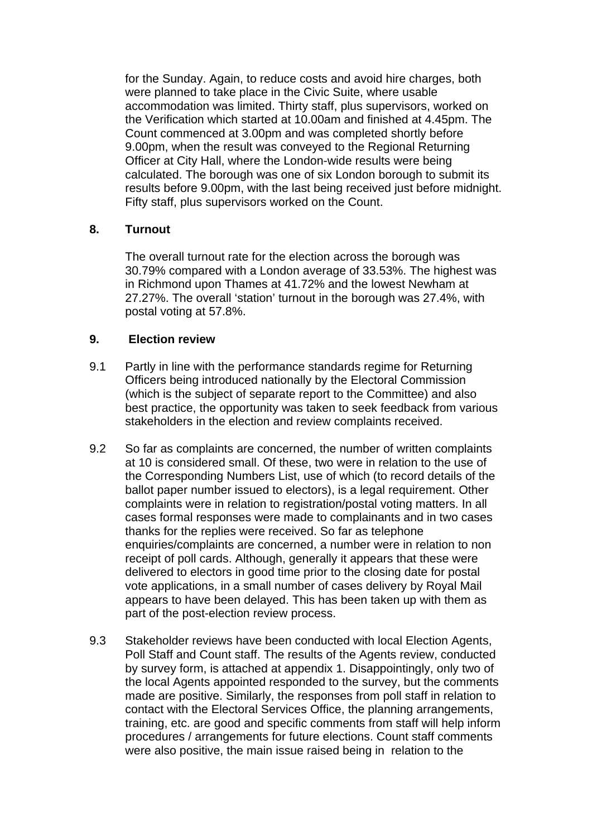for the Sunday. Again, to reduce costs and avoid hire charges, both were planned to take place in the Civic Suite, where usable accommodation was limited. Thirty staff, plus supervisors, worked on the Verification which started at 10.00am and finished at 4.45pm. The Count commenced at 3.00pm and was completed shortly before 9.00pm, when the result was conveyed to the Regional Returning Officer at City Hall, where the London-wide results were being calculated. The borough was one of six London borough to submit its results before 9.00pm, with the last being received just before midnight. Fifty staff, plus supervisors worked on the Count.

### **8. Turnout**

The overall turnout rate for the election across the borough was 30.79% compared with a London average of 33.53%. The highest was in Richmond upon Thames at 41.72% and the lowest Newham at 27.27%. The overall 'station' turnout in the borough was 27.4%, with postal voting at 57.8%.

### **9. Election review**

- 9.1 Partly in line with the performance standards regime for Returning Officers being introduced nationally by the Electoral Commission (which is the subject of separate report to the Committee) and also best practice, the opportunity was taken to seek feedback from various stakeholders in the election and review complaints received.
- 9.2 So far as complaints are concerned, the number of written complaints at 10 is considered small. Of these, two were in relation to the use of the Corresponding Numbers List, use of which (to record details of the ballot paper number issued to electors), is a legal requirement. Other complaints were in relation to registration/postal voting matters. In all cases formal responses were made to complainants and in two cases thanks for the replies were received. So far as telephone enquiries/complaints are concerned, a number were in relation to non receipt of poll cards. Although, generally it appears that these were delivered to electors in good time prior to the closing date for postal vote applications, in a small number of cases delivery by Royal Mail appears to have been delayed. This has been taken up with them as part of the post-election review process.
- 9.3 Stakeholder reviews have been conducted with local Election Agents, Poll Staff and Count staff. The results of the Agents review, conducted by survey form, is attached at appendix 1. Disappointingly, only two of the local Agents appointed responded to the survey, but the comments made are positive. Similarly, the responses from poll staff in relation to contact with the Electoral Services Office, the planning arrangements, training, etc. are good and specific comments from staff will help inform procedures / arrangements for future elections. Count staff comments were also positive, the main issue raised being in relation to the